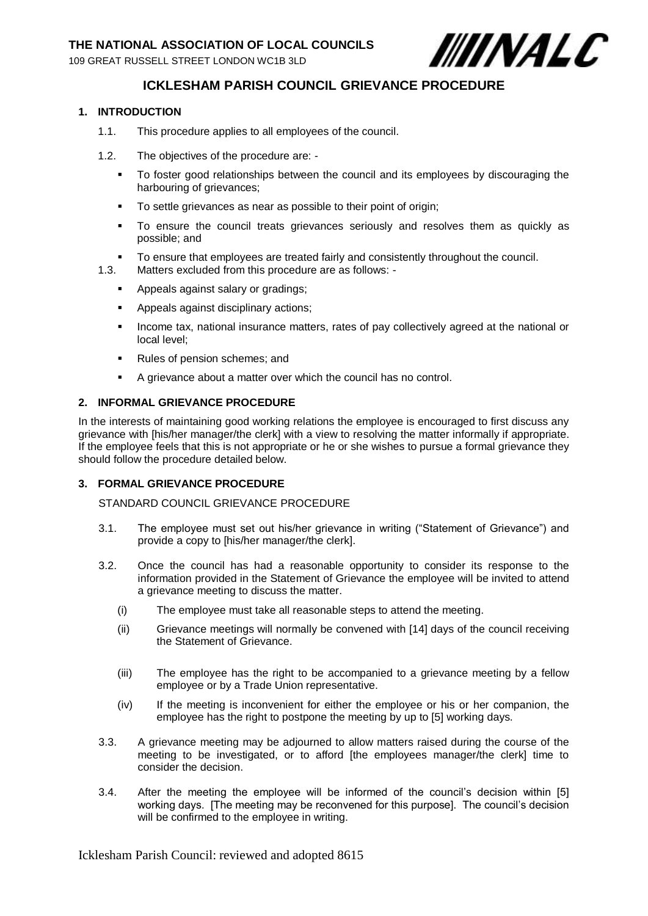109 GREAT RUSSELL STREET LONDON WC1B 3LD



# **ICKLESHAM PARISH COUNCIL GRIEVANCE PROCEDURE**

## **1. INTRODUCTION**

- 1.1. This procedure applies to all employees of the council.
- 1.2. The objectives of the procedure are:
	- To foster good relationships between the council and its employees by discouraging the harbouring of grievances;
	- **To settle grievances as near as possible to their point of origin;**
	- To ensure the council treats grievances seriously and resolves them as quickly as possible; and
	- To ensure that employees are treated fairly and consistently throughout the council.
- 1.3. Matters excluded from this procedure are as follows:
	- **Appeals against salary or gradings;**
	- **Appeals against disciplinary actions;**
	- Income tax, national insurance matters, rates of pay collectively agreed at the national or local level;
	- Rules of pension schemes; and
	- A grievance about a matter over which the council has no control.

#### **2. INFORMAL GRIEVANCE PROCEDURE**

In the interests of maintaining good working relations the employee is encouraged to first discuss any grievance with [his/her manager/the clerk] with a view to resolving the matter informally if appropriate. If the employee feels that this is not appropriate or he or she wishes to pursue a formal grievance they should follow the procedure detailed below.

### **3. FORMAL GRIEVANCE PROCEDURE**

STANDARD COUNCIL GRIEVANCE PROCEDURE

- 3.1. The employee must set out his/her grievance in writing ("Statement of Grievance") and provide a copy to [his/her manager/the clerk].
- 3.2. Once the council has had a reasonable opportunity to consider its response to the information provided in the Statement of Grievance the employee will be invited to attend a grievance meeting to discuss the matter.
	- (i) The employee must take all reasonable steps to attend the meeting.
	- (ii) Grievance meetings will normally be convened with [14] days of the council receiving the Statement of Grievance.
	- (iii) The employee has the right to be accompanied to a grievance meeting by a fellow employee or by a Trade Union representative.
	- (iv) If the meeting is inconvenient for either the employee or his or her companion, the employee has the right to postpone the meeting by up to [5] working days.
- 3.3. A grievance meeting may be adjourned to allow matters raised during the course of the meeting to be investigated, or to afford [the employees manager/the clerk] time to consider the decision.
- 3.4. After the meeting the employee will be informed of the council's decision within [5] working days. [The meeting may be reconvened for this purpose]. The council's decision will be confirmed to the employee in writing.